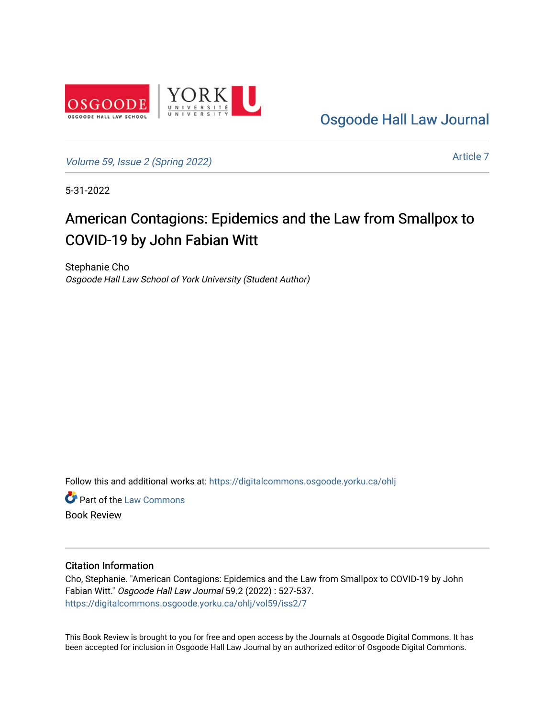

[Osgoode Hall Law Journal](https://digitalcommons.osgoode.yorku.ca/ohlj) 

[Volume 59, Issue 2 \(Spring 2022\)](https://digitalcommons.osgoode.yorku.ca/ohlj/vol59/iss2)

[Article 7](https://digitalcommons.osgoode.yorku.ca/ohlj/vol59/iss2/7) 

5-31-2022

# American Contagions: Epidemics and the Law from Smallpox to COVID-19 by John Fabian Witt

Stephanie Cho Osgoode Hall Law School of York University (Student Author)

Follow this and additional works at: [https://digitalcommons.osgoode.yorku.ca/ohlj](https://digitalcommons.osgoode.yorku.ca/ohlj?utm_source=digitalcommons.osgoode.yorku.ca%2Fohlj%2Fvol59%2Fiss2%2F7&utm_medium=PDF&utm_campaign=PDFCoverPages)

**Part of the [Law Commons](https://network.bepress.com/hgg/discipline/578?utm_source=digitalcommons.osgoode.yorku.ca%2Fohlj%2Fvol59%2Fiss2%2F7&utm_medium=PDF&utm_campaign=PDFCoverPages)** Book Review

Citation Information

Cho, Stephanie. "American Contagions: Epidemics and the Law from Smallpox to COVID-19 by John Fabian Witt." Osgoode Hall Law Journal 59.2 (2022) : 527-537. [https://digitalcommons.osgoode.yorku.ca/ohlj/vol59/iss2/7](https://digitalcommons.osgoode.yorku.ca/ohlj/vol59/iss2/7?utm_source=digitalcommons.osgoode.yorku.ca%2Fohlj%2Fvol59%2Fiss2%2F7&utm_medium=PDF&utm_campaign=PDFCoverPages) 

This Book Review is brought to you for free and open access by the Journals at Osgoode Digital Commons. It has been accepted for inclusion in Osgoode Hall Law Journal by an authorized editor of Osgoode Digital Commons.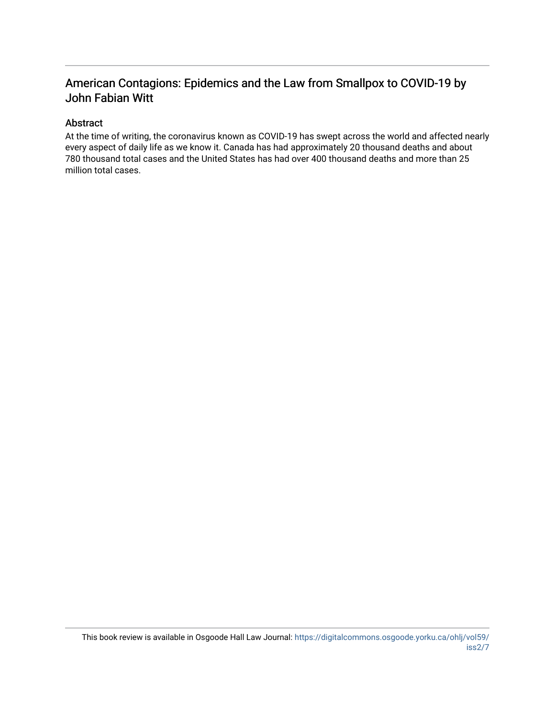### American Contagions: Epidemics and the Law from Smallpox to COVID-19 by John Fabian Witt

#### Abstract

At the time of writing, the coronavirus known as COVID-19 has swept across the world and affected nearly every aspect of daily life as we know it. Canada has had approximately 20 thousand deaths and about 780 thousand total cases and the United States has had over 400 thousand deaths and more than 25 million total cases.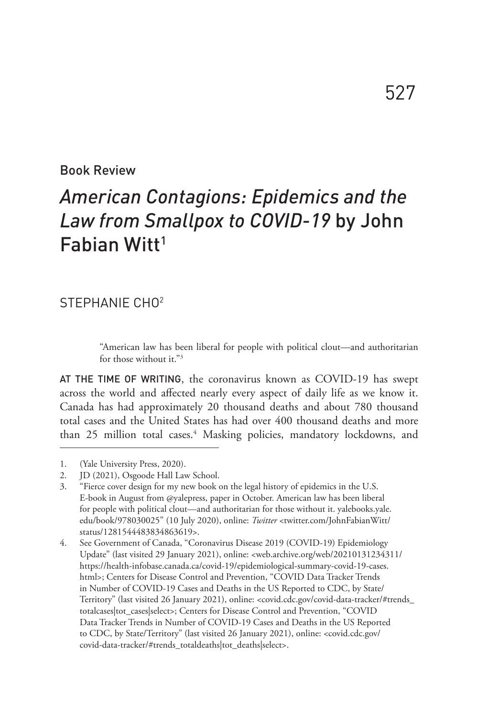#### Book Review

## *American Contagions: Epidemics and the Law from Smallpox to COVID-19* by John Fabian Witt1

#### STEPHANIE CHO2

"American law has been liberal for people with political clout—and authoritarian for those without it."3

AT THE TIME OF WRITING, the coronavirus known as COVID-19 has swept across the world and affected nearly every aspect of daily life as we know it. Canada has had approximately 20 thousand deaths and about 780 thousand total cases and the United States has had over 400 thousand deaths and more than 25 million total cases.<sup>4</sup> Masking policies, mandatory lockdowns, and

<sup>1.</sup> (Yale University Press, 2020).

<sup>2.</sup> JD (2021), Osgoode Hall Law School.

<sup>3.</sup> "Fierce cover design for my new book on the legal history of epidemics in the U.S. E-book in August from @yalepress, paper in October. American law has been liberal for people with political clout—and authoritarian for those without it. yalebooks.yale. edu/book/978030025" (10 July 2020), online: *Twitter* <twitter.com/JohnFabianWitt/ status/1281544483834863619>.

<sup>4.</sup> See Government of Canada, "Coronavirus Disease 2019 (COVID-19) Epidemiology Update" (last visited 29 January 2021), online: <web.archive.org/web/20210131234311/ https://health-infobase.canada.ca/covid-19/epidemiological-summary-covid-19-cases. html>; Centers for Disease Control and Prevention, "COVID Data Tracker Trends in Number of COVID-19 Cases and Deaths in the US Reported to CDC, by State/ Territory" (last visited 26 January 2021), online: <covid.cdc.gov/covid-data-tracker/#trends\_ totalcases|tot\_cases|select>; Centers for Disease Control and Prevention, "COVID Data Tracker Trends in Number of COVID-19 Cases and Deaths in the US Reported to CDC, by State/Territory" (last visited 26 January 2021), online: <covid.cdc.gov/ covid-data-tracker/#trends\_totaldeaths|tot\_deaths|select>.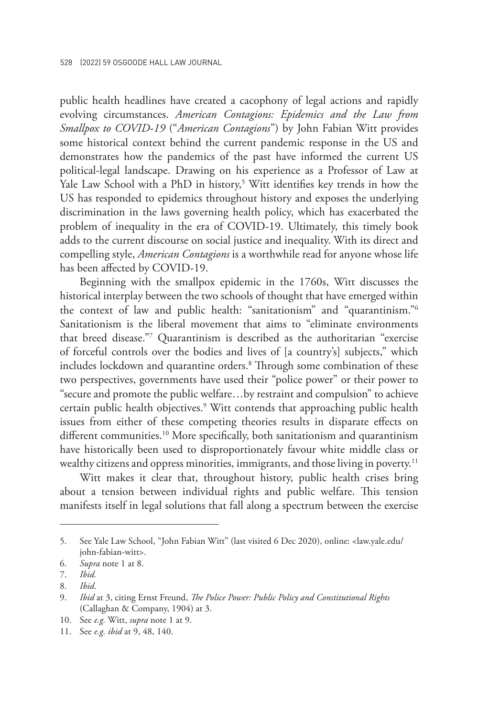public health headlines have created a cacophony of legal actions and rapidly evolving circumstances. *American Contagions: Epidemics and the Law from Smallpox to COVID-19* ("*American Contagions*") by John Fabian Witt provides some historical context behind the current pandemic response in the US and demonstrates how the pandemics of the past have informed the current US political-legal landscape. Drawing on his experience as a Professor of Law at Yale Law School with a PhD in history,5 Witt identifies key trends in how the US has responded to epidemics throughout history and exposes the underlying discrimination in the laws governing health policy, which has exacerbated the problem of inequality in the era of COVID-19. Ultimately, this timely book adds to the current discourse on social justice and inequality. With its direct and compelling style, *American Contagions* is a worthwhile read for anyone whose life has been affected by COVID-19.

Beginning with the smallpox epidemic in the 1760s, Witt discusses the historical interplay between the two schools of thought that have emerged within the context of law and public health: "sanitationism" and "quarantinism."6 Sanitationism is the liberal movement that aims to "eliminate environments that breed disease."7 Quarantinism is described as the authoritarian "exercise of forceful controls over the bodies and lives of [a country's] subjects," which includes lockdown and quarantine orders.<sup>8</sup> Through some combination of these two perspectives, governments have used their "police power" or their power to "secure and promote the public welfare…by restraint and compulsion" to achieve certain public health objectives.<sup>9</sup> Witt contends that approaching public health issues from either of these competing theories results in disparate effects on different communities.<sup>10</sup> More specifically, both sanitationism and quarantinism have historically been used to disproportionately favour white middle class or wealthy citizens and oppress minorities, immigrants, and those living in poverty.<sup>11</sup>

Witt makes it clear that, throughout history, public health crises bring about a tension between individual rights and public welfare. This tension manifests itself in legal solutions that fall along a spectrum between the exercise

<sup>5.</sup> See Yale Law School, "John Fabian Witt" (last visited 6 Dec 2020), online: <law.yale.edu/ john-fabian-witt>.

<sup>6.</sup> *Supra* note 1 at 8.

<sup>7.</sup> *Ibid.*

<sup>8.</sup> *Ibid*.

<sup>9.</sup> *Ibid* at 3, citing Ernst Freund, *The Police Power: Public Policy and Constitutional Rights* (Callaghan & Company, 1904) at 3.

<sup>10.</sup> See *e.g.* Witt, *supra* note 1 at 9.

<sup>11.</sup> See *e.g. ibid* at 9, 48, 140.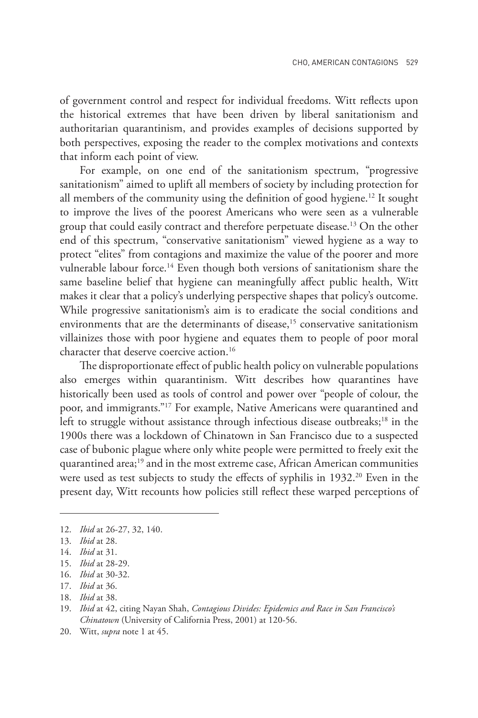of government control and respect for individual freedoms. Witt reflects upon the historical extremes that have been driven by liberal sanitationism and authoritarian quarantinism, and provides examples of decisions supported by both perspectives, exposing the reader to the complex motivations and contexts that inform each point of view.

For example, on one end of the sanitationism spectrum, "progressive sanitationism" aimed to uplift all members of society by including protection for all members of the community using the definition of good hygiene.<sup>12</sup> It sought to improve the lives of the poorest Americans who were seen as a vulnerable group that could easily contract and therefore perpetuate disease.13 On the other end of this spectrum, "conservative sanitationism" viewed hygiene as a way to protect "elites" from contagions and maximize the value of the poorer and more vulnerable labour force.<sup>14</sup> Even though both versions of sanitationism share the same baseline belief that hygiene can meaningfully affect public health, Witt makes it clear that a policy's underlying perspective shapes that policy's outcome. While progressive sanitationism's aim is to eradicate the social conditions and environments that are the determinants of disease,<sup>15</sup> conservative sanitationism villainizes those with poor hygiene and equates them to people of poor moral character that deserve coercive action.16

The disproportionate effect of public health policy on vulnerable populations also emerges within quarantinism. Witt describes how quarantines have historically been used as tools of control and power over "people of colour, the poor, and immigrants."17 For example, Native Americans were quarantined and left to struggle without assistance through infectious disease outbreaks;<sup>18</sup> in the 1900s there was a lockdown of Chinatown in San Francisco due to a suspected case of bubonic plague where only white people were permitted to freely exit the quarantined area;<sup>19</sup> and in the most extreme case, African American communities were used as test subjects to study the effects of syphilis in 1932.<sup>20</sup> Even in the present day, Witt recounts how policies still reflect these warped perceptions of

<sup>12.</sup> *Ibid* at 26-27, 32, 140.

<sup>13.</sup> *Ibid* at 28.

<sup>14.</sup> *Ibid* at 31.

<sup>15.</sup> *Ibid* at 28-29.

<sup>16.</sup> *Ibid* at 30-32.

<sup>17.</sup> *Ibid* at 36.

<sup>18.</sup> *Ibid* at 38.

<sup>19.</sup> *Ibid* at 42, citing Nayan Shah, *Contagious Divides: Epidemics and Race in San Francisco's Chinatown* (University of California Press, 2001) at 120-56.

<sup>20.</sup> Witt, *supra* note 1 at 45.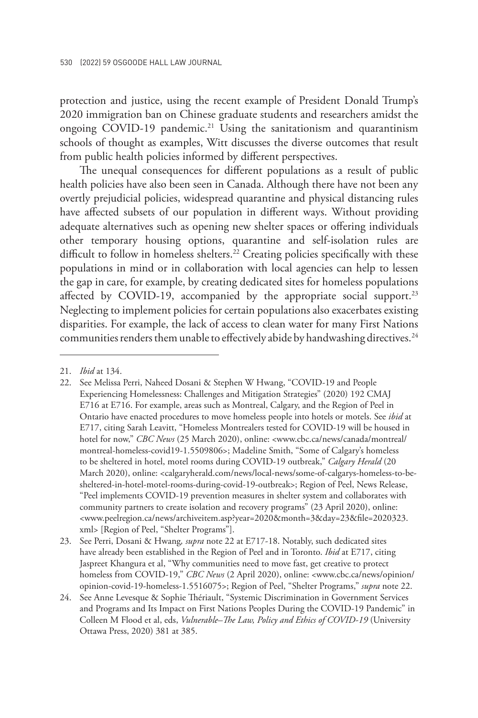protection and justice, using the recent example of President Donald Trump's 2020 immigration ban on Chinese graduate students and researchers amidst the ongoing COVID-19 pandemic.<sup>21</sup> Using the sanitationism and quarantinism schools of thought as examples, Witt discusses the diverse outcomes that result from public health policies informed by different perspectives.

The unequal consequences for different populations as a result of public health policies have also been seen in Canada. Although there have not been any overtly prejudicial policies, widespread quarantine and physical distancing rules have affected subsets of our population in different ways. Without providing adequate alternatives such as opening new shelter spaces or offering individuals other temporary housing options, quarantine and self-isolation rules are difficult to follow in homeless shelters.<sup>22</sup> Creating policies specifically with these populations in mind or in collaboration with local agencies can help to lessen the gap in care, for example, by creating dedicated sites for homeless populations affected by COVID-19, accompanied by the appropriate social support.<sup>23</sup> Neglecting to implement policies for certain populations also exacerbates existing disparities. For example, the lack of access to clean water for many First Nations communities renders them unable to effectively abide by handwashing directives.<sup>24</sup>

<sup>21.</sup> *Ibid* at 134.

<sup>22.</sup> See Melissa Perri, Naheed Dosani & Stephen W Hwang, "COVID-19 and People Experiencing Homelessness: Challenges and Mitigation Strategies" (2020) 192 CMAJ E716 at E716. For example, areas such as Montreal, Calgary, and the Region of Peel in Ontario have enacted procedures to move homeless people into hotels or motels. See *ibid* at E717, citing Sarah Leavitt, "Homeless Montrealers tested for COVID-19 will be housed in hotel for now," *CBC News* (25 March 2020), online: <www.cbc.ca/news/canada/montreal/ montreal-homeless-covid19-1.5509806>; Madeline Smith, "Some of Calgary's homeless to be sheltered in hotel, motel rooms during COVID-19 outbreak," *Calgary Herald* (20 March 2020), online: <calgaryherald.com/news/local-news/some-of-calgarys-homeless-to-besheltered-in-hotel-motel-rooms-during-covid-19-outbreak>; Region of Peel, News Release, "Peel implements COVID-19 prevention measures in shelter system and collaborates with community partners to create isolation and recovery programs" (23 April 2020), online: <www.peelregion.ca/news/archiveitem.asp?year=2020&month=3&day=23&file=2020323. xml> [Region of Peel, "Shelter Programs"].

<sup>23.</sup> See Perri, Dosani & Hwang*, supra* note 22 at E717-18. Notably, such dedicated sites have already been established in the Region of Peel and in Toronto. *Ibid* at E717, citing Jaspreet Khangura et al, "Why communities need to move fast, get creative to protect homeless from COVID-19," *CBC News* (2 April 2020), online: <www.cbc.ca/news/opinion/ opinion-covid-19-homeless-1.5516075>; Region of Peel, "Shelter Programs," *supra* note 22.

<sup>24.</sup> See Anne Levesque & Sophie Thériault, "Systemic Discrimination in Government Services and Programs and Its Impact on First Nations Peoples During the COVID-19 Pandemic" in Colleen M Flood et al, eds, *Vulnerable–The Law, Policy and Ethics of COVID-19* (University Ottawa Press, 2020) 381 at 385.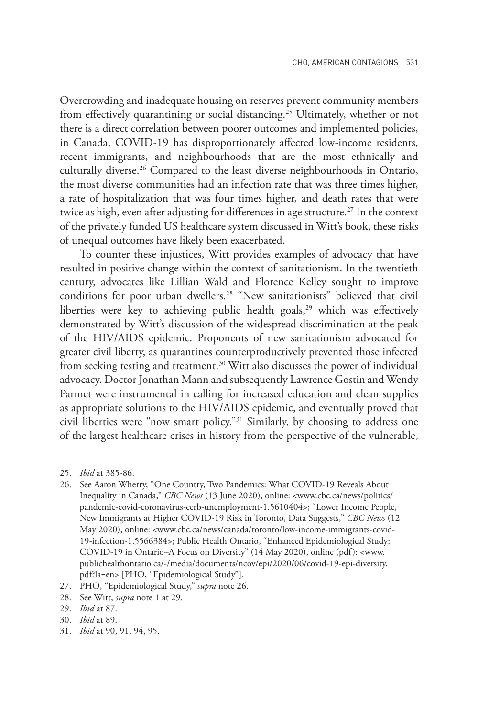Overcrowding and inadequate housing on reserves prevent community members from effectively quarantining or social distancing.<sup>25</sup> Ultimately, whether or not there is a direct correlation between poorer outcomes and implemented policies, in Canada, COVID-19 has disproportionately affected low-income residents, recent immigrants, and neighbourhoods that are the most ethnically and culturally diverse.<sup>26</sup> Compared to the least diverse neighbourhoods in Ontario, the most diverse communities had an infection rate that was three times higher, a rate of hospitalization that was four times higher, and death rates that were twice as high, even after adjusting for differences in age structure.<sup>27</sup> In the context of the privately funded US healthcare system discussed in Witt's book, these risks of unequal outcomes have likely been exacerbated.

To counter these injustices, Witt provides examples of advocacy that have resulted in positive change within the context of sanitationism. In the twentieth century, advocates like Lillian Wald and Florence Kelley sought to improve conditions for poor urban dwellers.28 "New sanitationists" believed that civil liberties were key to achieving public health goals,<sup>29</sup> which was effectively demonstrated by Witt's discussion of the widespread discrimination at the peak of the HIV/AIDS epidemic. Proponents of new sanitationism advocated for greater civil liberty, as quarantines counterproductively prevented those infected from seeking testing and treatment.<sup>30</sup> Witt also discusses the power of individual advocacy. Doctor Jonathan Mann and subsequently Lawrence Gostin and Wendy Parmet were instrumental in calling for increased education and clean supplies as appropriate solutions to the HIV/AIDS epidemic, and eventually proved that civil liberties were "now smart policy."31 Similarly, by choosing to address one of the largest healthcare crises in history from the perspective of the vulnerable,

<sup>25.</sup> *Ibid* at 385-86.

<sup>26.</sup> See Aaron Wherry, "One Country, Two Pandemics: What COVID-19 Reveals About Inequality in Canada," *CBC News* (13 June 2020), online: <www.cbc.ca/news/politics/ pandemic-covid-coronavirus-cerb-unemployment-1.5610404>; "Lower Income People, New Immigrants at Higher COVID-19 Risk in Toronto, Data Suggests," *CBC News* (12 May 2020), online: <www.cbc.ca/news/canada/toronto/low-income-immigrants-covid-19-infection-1.5566384>; Public Health Ontario, "Enhanced Epidemiological Study: COVID-19 in Ontario–A Focus on Diversity" (14 May 2020), online (pdf): <www. publichealthontario.ca/-/media/documents/ncov/epi/2020/06/covid-19-epi-diversity. pdf?la=en> [PHO, "Epidemiological Study"].

<sup>27.</sup> PHO, "Epidemiological Study," *supra* note 26.

<sup>28.</sup> See Witt, *supra* note 1 at 29.

<sup>29.</sup> *Ibid* at 87.

<sup>30.</sup> *Ibid* at 89.

<sup>31.</sup> *Ibid* at 90, 91, 94, 95.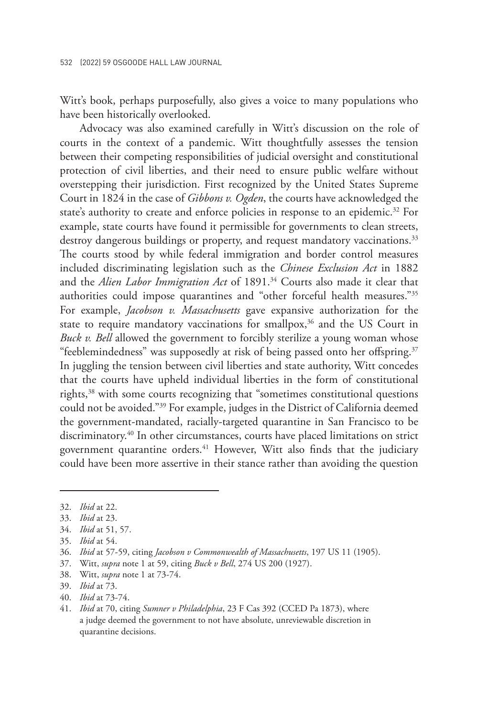Witt's book, perhaps purposefully, also gives a voice to many populations who have been historically overlooked.

Advocacy was also examined carefully in Witt's discussion on the role of courts in the context of a pandemic. Witt thoughtfully assesses the tension between their competing responsibilities of judicial oversight and constitutional protection of civil liberties, and their need to ensure public welfare without overstepping their jurisdiction. First recognized by the United States Supreme Court in 1824 in the case of *Gibbons v. Ogden*, the courts have acknowledged the state's authority to create and enforce policies in response to an epidemic.<sup>32</sup> For example, state courts have found it permissible for governments to clean streets, destroy dangerous buildings or property, and request mandatory vaccinations.<sup>33</sup> The courts stood by while federal immigration and border control measures included discriminating legislation such as the *Chinese Exclusion Act* in 1882 and the *Alien Labor Immigration Act* of 1891.<sup>34</sup> Courts also made it clear that authorities could impose quarantines and "other forceful health measures."35 For example, *Jacobson v. Massachusetts* gave expansive authorization for the state to require mandatory vaccinations for smallpox,<sup>36</sup> and the US Court in *Buck v. Bell* allowed the government to forcibly sterilize a young woman whose "feeblemindedness" was supposedly at risk of being passed onto her offspring.<sup>37</sup> In juggling the tension between civil liberties and state authority, Witt concedes that the courts have upheld individual liberties in the form of constitutional rights,38 with some courts recognizing that "sometimes constitutional questions could not be avoided."39 For example, judges in the District of California deemed the government-mandated, racially-targeted quarantine in San Francisco to be discriminatory.40 In other circumstances, courts have placed limitations on strict government quarantine orders.<sup>41</sup> However, Witt also finds that the judiciary could have been more assertive in their stance rather than avoiding the question

<sup>32.</sup> *Ibid* at 22.

<sup>33.</sup> *Ibid* at 23.

<sup>34.</sup> *Ibid* at 51, 57.

<sup>35.</sup> *Ibid* at 54.

<sup>36.</sup> *Ibid* at 57-59, citing *Jacobson v Commonwealth of Massachusetts*, 197 US 11 (1905).

<sup>37.</sup> Witt, *supra* note 1 at 59, citing *Buck v Bell*, 274 US 200 (1927).

<sup>38.</sup> Witt, *supra* note 1 at 73-74.

<sup>39.</sup> *Ibid* at 73.

<sup>40.</sup> *Ibid* at 73-74.

<sup>41.</sup> *Ibid* at 70, citing *Sumner v Philadelphia*, 23 F Cas 392 (CCED Pa 1873), where a judge deemed the government to not have absolute, unreviewable discretion in quarantine decisions.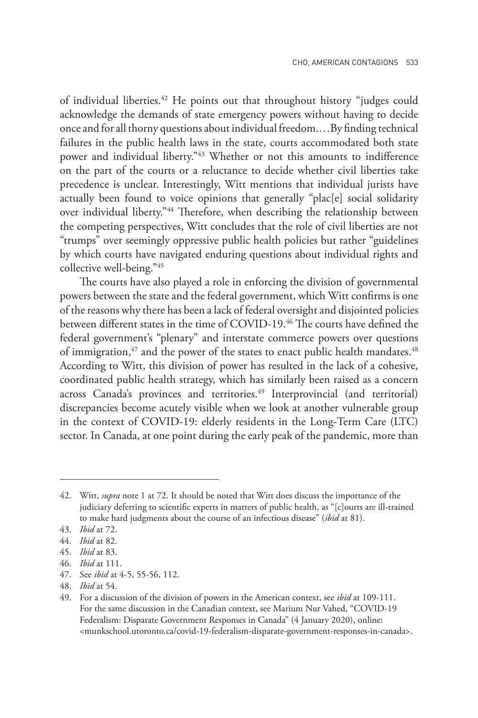of individual liberties.<sup>42</sup> He points out that throughout history "judges could acknowledge the demands of state emergency powers without having to decide once and for all thorny questions about individual freedom.…By finding technical failures in the public health laws in the state, courts accommodated both state power and individual liberty."43 Whether or not this amounts to indifference on the part of the courts or a reluctance to decide whether civil liberties take precedence is unclear. Interestingly, Witt mentions that individual jurists have actually been found to voice opinions that generally "plac[e] social solidarity over individual liberty."<sup>44</sup> Therefore, when describing the relationship between the competing perspectives, Witt concludes that the role of civil liberties are not "trumps" over seemingly oppressive public health policies but rather "guidelines by which courts have navigated enduring questions about individual rights and collective well-being."45

The courts have also played a role in enforcing the division of governmental powers between the state and the federal government, which Witt confirms is one of the reasons why there has been a lack of federal oversight and disjointed policies between different states in the time of COVID-19.46 The courts have defined the federal government's "plenary" and interstate commerce powers over questions of immigration,<sup>47</sup> and the power of the states to enact public health mandates.<sup>48</sup> According to Witt, this division of power has resulted in the lack of a cohesive, coordinated public health strategy, which has similarly been raised as a concern across Canada's provinces and territories.<sup>49</sup> Interprovincial (and territorial) discrepancies become acutely visible when we look at another vulnerable group in the context of COVID-19: elderly residents in the Long-Term Care (LTC) sector. In Canada, at one point during the early peak of the pandemic, more than

<sup>42.</sup> Witt, *supra* note 1 at 72. It should be noted that Witt does discuss the importance of the judiciary deferring to scientific experts in matters of public health, as "[c]ourts are ill-trained to make hard judgments about the course of an infectious disease" (*ibid* at 81).

<sup>43.</sup> *Ibid* at 72.

<sup>44.</sup> *Ibid* at 82.

<sup>45.</sup> *Ibid* at 83.

<sup>46.</sup> *Ibid* at 111.

<sup>47.</sup> See *ibid* at 4-5, 55-56, 112.

<sup>48.</sup> *Ibid* at 54.

<sup>49.</sup> For a discussion of the division of powers in the American context, see *ibid* at 109-111. For the same discussion in the Canadian context, see Marium Nur Vahed, "COVID-19 Federalism: Disparate Government Responses in Canada" (4 January 2020), online: <munkschool.utoronto.ca/covid-19-federalism-disparate-government-responses-in-canada>.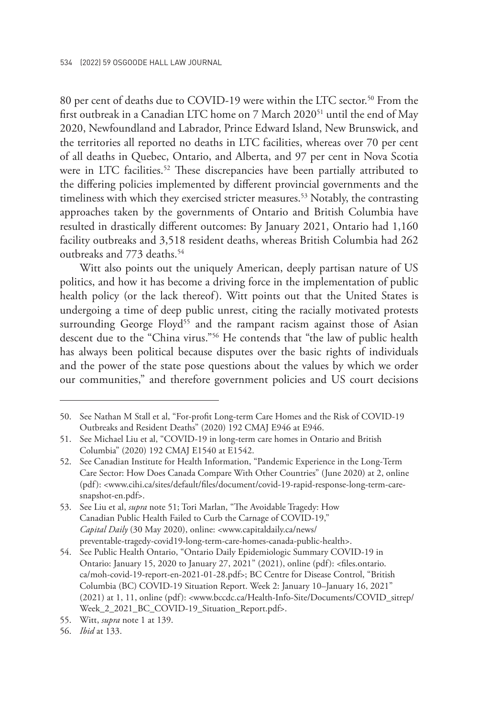80 per cent of deaths due to COVID-19 were within the LTC sector.<sup>50</sup> From the first outbreak in a Canadian LTC home on 7 March 2020<sup>51</sup> until the end of May 2020, Newfoundland and Labrador, Prince Edward Island, New Brunswick, and the territories all reported no deaths in LTC facilities, whereas over 70 per cent of all deaths in Quebec, Ontario, and Alberta, and 97 per cent in Nova Scotia were in LTC facilities.<sup>52</sup> These discrepancies have been partially attributed to the differing policies implemented by different provincial governments and the timeliness with which they exercised stricter measures.<sup>53</sup> Notably, the contrasting approaches taken by the governments of Ontario and British Columbia have resulted in drastically different outcomes: By January 2021, Ontario had 1,160 facility outbreaks and 3,518 resident deaths, whereas British Columbia had 262 outbreaks and 773 deaths.<sup>54</sup>

Witt also points out the uniquely American, deeply partisan nature of US politics, and how it has become a driving force in the implementation of public health policy (or the lack thereof). Witt points out that the United States is undergoing a time of deep public unrest, citing the racially motivated protests surrounding George Floyd<sup>55</sup> and the rampant racism against those of Asian descent due to the "China virus."56 He contends that "the law of public health has always been political because disputes over the basic rights of individuals and the power of the state pose questions about the values by which we order our communities," and therefore government policies and US court decisions

<sup>50.</sup> See Nathan M Stall et al, "For-profit Long-term Care Homes and the Risk of COVID-19 Outbreaks and Resident Deaths" (2020) 192 CMAJ E946 at E946.

<sup>51.</sup> See Michael Liu et al, "COVID-19 in long-term care homes in Ontario and British Columbia" (2020) 192 CMAJ E1540 at E1542.

<sup>52.</sup> See Canadian Institute for Health Information, "Pandemic Experience in the Long-Term Care Sector: How Does Canada Compare With Other Countries" (June 2020) at 2, online (pdf): <www.cihi.ca/sites/default/files/document/covid-19-rapid-response-long-term-caresnapshot-en.pdf>.

<sup>53.</sup> See Liu et al, *supra* note 51; Tori Marlan, "The Avoidable Tragedy: How Canadian Public Health Failed to Curb the Carnage of COVID-19," *Capital Daily* (30 May 2020), online: <www.capitaldaily.ca/news/ preventable-tragedy-covid19-long-term-care-homes-canada-public-health>.

<sup>54.</sup> See Public Health Ontario, "Ontario Daily Epidemiologic Summary COVID-19 in Ontario: January 15, 2020 to January 27, 2021" (2021), online (pdf): <files.ontario. ca/moh-covid-19-report-en-2021-01-28.pdf>; BC Centre for Disease Control, "British Columbia (BC) COVID-19 Situation Report. Week 2: January 10–January 16, 2021" (2021) at 1, 11, online (pdf): <www.bccdc.ca/Health-Info-Site/Documents/COVID\_sitrep/ Week\_2\_2021\_BC\_COVID-19\_Situation\_Report.pdf>.

<sup>55.</sup> Witt, *supra* note 1 at 139.

<sup>56.</sup> *Ibid* at 133.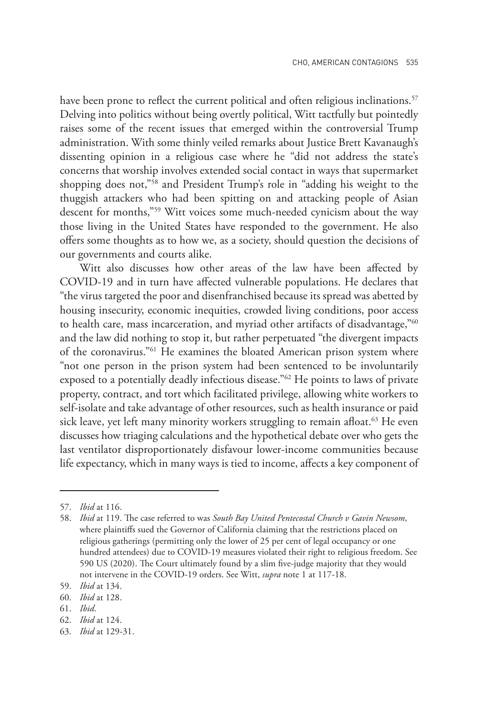have been prone to reflect the current political and often religious inclinations.<sup>57</sup> Delving into politics without being overtly political, Witt tactfully but pointedly raises some of the recent issues that emerged within the controversial Trump administration. With some thinly veiled remarks about Justice Brett Kavanaugh's dissenting opinion in a religious case where he "did not address the state's concerns that worship involves extended social contact in ways that supermarket shopping does not,"58 and President Trump's role in "adding his weight to the thuggish attackers who had been spitting on and attacking people of Asian descent for months,"59 Witt voices some much-needed cynicism about the way those living in the United States have responded to the government. He also offers some thoughts as to how we, as a society, should question the decisions of our governments and courts alike.

Witt also discusses how other areas of the law have been affected by COVID-19 and in turn have affected vulnerable populations. He declares that "the virus targeted the poor and disenfranchised because its spread was abetted by housing insecurity, economic inequities, crowded living conditions, poor access to health care, mass incarceration, and myriad other artifacts of disadvantage,"<sup>60</sup> and the law did nothing to stop it, but rather perpetuated "the divergent impacts of the coronavirus."61 He examines the bloated American prison system where "not one person in the prison system had been sentenced to be involuntarily exposed to a potentially deadly infectious disease."62 He points to laws of private property, contract, and tort which facilitated privilege, allowing white workers to self-isolate and take advantage of other resources, such as health insurance or paid sick leave, yet left many minority workers struggling to remain afloat.<sup>63</sup> He even discusses how triaging calculations and the hypothetical debate over who gets the last ventilator disproportionately disfavour lower-income communities because life expectancy, which in many ways is tied to income, affects a key component of

61. *Ibid*.

<sup>57.</sup> *Ibid* at 116.

<sup>58.</sup> *Ibid* at 119. The case referred to was *South Bay United Pentecostal Church v Gavin Newsom*, where plaintiffs sued the Governor of California claiming that the restrictions placed on religious gatherings (permitting only the lower of 25 per cent of legal occupancy or one hundred attendees) due to COVID-19 measures violated their right to religious freedom. See 590 US (2020). The Court ultimately found by a slim five-judge majority that they would not intervene in the COVID-19 orders. See Witt, *supra* note 1 at 117-18.

<sup>59.</sup> *Ibid* at 134.

<sup>60.</sup> *Ibid* at 128.

<sup>62.</sup> *Ibid* at 124.

<sup>63.</sup> *Ibid* at 129-31.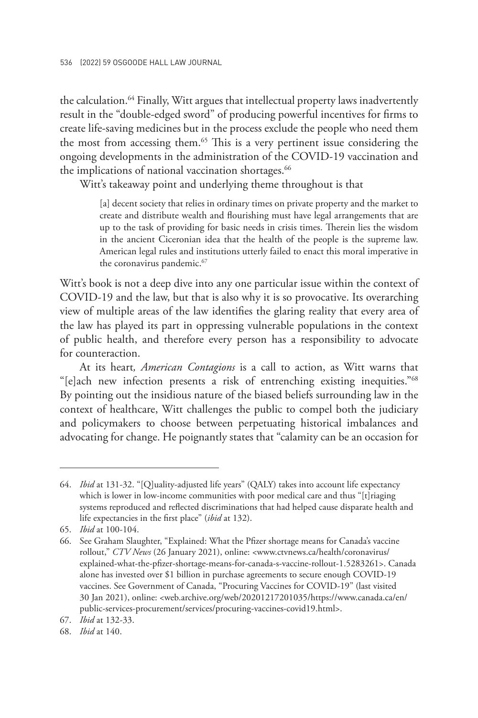the calculation.<sup>64</sup> Finally, Witt argues that intellectual property laws inadvertently result in the "double-edged sword" of producing powerful incentives for firms to create life-saving medicines but in the process exclude the people who need them the most from accessing them.<sup>65</sup> This is a very pertinent issue considering the ongoing developments in the administration of the COVID-19 vaccination and the implications of national vaccination shortages.<sup>66</sup>

Witt's takeaway point and underlying theme throughout is that

[a] decent society that relies in ordinary times on private property and the market to create and distribute wealth and flourishing must have legal arrangements that are up to the task of providing for basic needs in crisis times. Therein lies the wisdom in the ancient Ciceronian idea that the health of the people is the supreme law. American legal rules and institutions utterly failed to enact this moral imperative in the coronavirus pandemic.<sup>67</sup>

Witt's book is not a deep dive into any one particular issue within the context of COVID-19 and the law, but that is also why it is so provocative. Its overarching view of multiple areas of the law identifies the glaring reality that every area of the law has played its part in oppressing vulnerable populations in the context of public health, and therefore every person has a responsibility to advocate for counteraction.

At its heart*, American Contagions* is a call to action, as Witt warns that "[e]ach new infection presents a risk of entrenching existing inequities."68 By pointing out the insidious nature of the biased beliefs surrounding law in the context of healthcare, Witt challenges the public to compel both the judiciary and policymakers to choose between perpetuating historical imbalances and advocating for change. He poignantly states that "calamity can be an occasion for

<sup>64.</sup> *Ibid* at 131-32. "[Q]uality-adjusted life years" (QALY) takes into account life expectancy which is lower in low-income communities with poor medical care and thus "[t]riaging systems reproduced and reflected discriminations that had helped cause disparate health and life expectancies in the first place" (*ibid* at 132).

<sup>65.</sup> *Ibid* at 100-104.

<sup>66.</sup> See Graham Slaughter, "Explained: What the Pfizer shortage means for Canada's vaccine rollout," *CTV News* (26 January 2021), online: <www.ctvnews.ca/health/coronavirus/ explained-what-the-pfizer-shortage-means-for-canada-s-vaccine-rollout-1.5283261>. Canada alone has invested over \$1 billion in purchase agreements to secure enough COVID-19 vaccines. See Government of Canada, "Procuring Vaccines for COVID-19" (last visited 30 Jan 2021), online: <web.archive.org/web/20201217201035/https://www.canada.ca/en/ public-services-procurement/services/procuring-vaccines-covid19.html>.

<sup>67.</sup> *Ibid* at 132-33.

<sup>68.</sup> *Ibid* at 140.